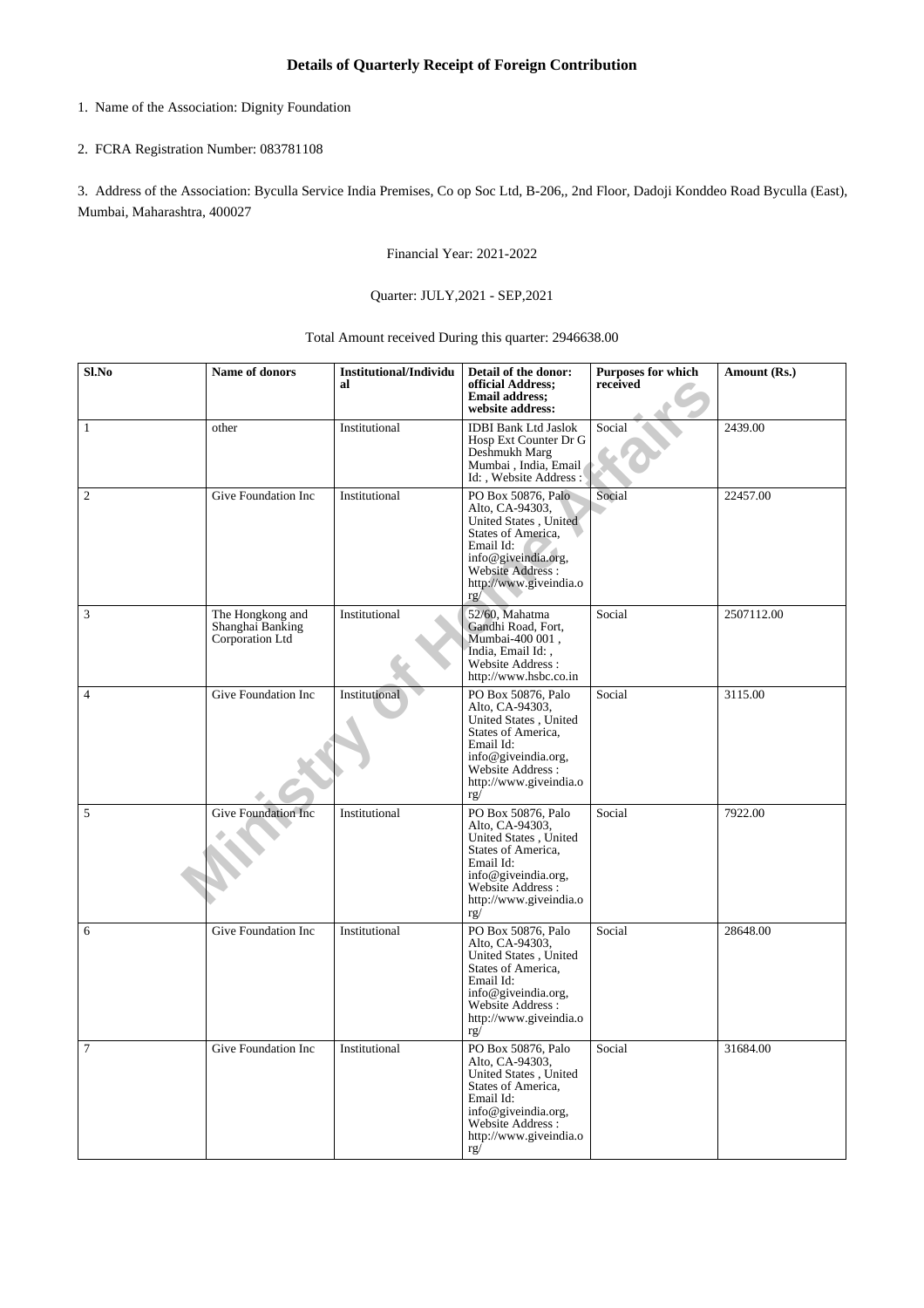- 1. Name of the Association: Dignity Foundation
- 2. FCRA Registration Number: 083781108

3. Address of the Association: Byculla Service India Premises, Co op Soc Ltd, B-206,, 2nd Floor, Dadoji Konddeo Road Byculla (East), Mumbai, Maharashtra, 400027

Financial Year: 2021-2022

## Quarter: JULY,2021 - SEP,2021

Total Amount received During this quarter: 2946638.00

| Sl.No          | Name of donors                                          | <b>Institutional/Individu</b><br>al | Detail of the donor:<br>official Address;<br><b>Email address;</b><br>website address:                                                                                         | Purposes for which<br>received | Amount (Rs.) |
|----------------|---------------------------------------------------------|-------------------------------------|--------------------------------------------------------------------------------------------------------------------------------------------------------------------------------|--------------------------------|--------------|
| $\mathbf{1}$   | other                                                   | Institutional                       | <b>IDBI Bank Ltd Jaslok</b><br>Hosp Ext Counter Dr G<br>Deshmukh Marg<br>Mumbai, India, Email<br>Id:, Website Address:                                                         | Social                         | 2439.00      |
| $\overline{c}$ | Give Foundation Inc                                     | Institutional                       | PO Box 50876, Palo<br>Alto, CA-94303,<br>United States, United<br>States of America,<br>Email Id:<br>info@giveindia.org,<br>Website Address :<br>http://www.giveindia.o<br>rg/ | Social                         | 22457.00     |
| $\mathfrak{Z}$ | The Hongkong and<br>Shanghai Banking<br>Corporation Ltd | Institutional                       | 52/60, Mahatma<br>Gandhi Road, Fort,<br>Mumbai-400 001,<br>India, Email Id: .<br>Website Address:<br>http://www.hsbc.co.in                                                     | Social                         | 2507112.00   |
| $\overline{4}$ | Give Foundation Inc                                     | Institutional                       | PO Box 50876, Palo<br>Alto, CA-94303,<br>United States, United<br>States of America,<br>Email Id:<br>info@giveindia.org,<br>Website Address:<br>http://www.giveindia.o<br>rg/  | Social                         | 3115.00      |
| 5              | <b>Give Foundation Inc</b>                              | Institutional                       | PO Box 50876, Palo<br>Alto, CA-94303,<br>United States, United<br>States of America,<br>Email Id:<br>info@giveindia.org,<br>Website Address:<br>http://www.giveindia.o<br>rg/  | Social                         | 7922.00      |
| 6              | Give Foundation Inc                                     | Institutional                       | PO Box 50876, Palo<br>Alto, CA-94303,<br>United States, United<br>States of America,<br>Email Id:<br>info@giveindia.org,<br>Website Address:<br>http://www.giveindia.o<br>rg/  | Social                         | 28648.00     |
| $\tau$         | Give Foundation Inc                                     | Institutional                       | PO Box 50876, Palo<br>Alto, CA-94303,<br>United States, United<br>States of America,<br>Email Id:<br>info@giveindia.org,<br>Website Address:<br>http://www.giveindia.o<br>rg/  | Social                         | 31684.00     |